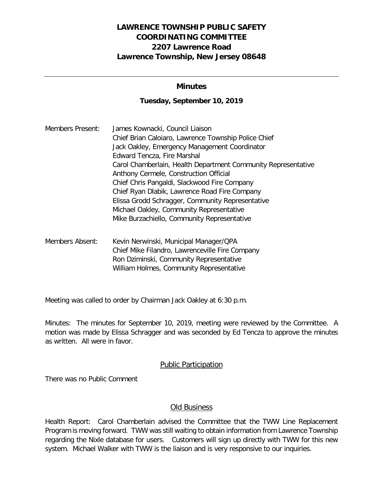# **LAWRENCE TOWNSHIP PUBLIC SAFETY COORDINATING COMMITTEE 2207 Lawrence Road Lawrence Township, New Jersey 08648**

### **Minutes**

#### **Tuesday, September 10, 2019**

| Members Present: | James Kownacki, Council Liaison                               |
|------------------|---------------------------------------------------------------|
|                  | Chief Brian Caloiaro, Lawrence Township Police Chief          |
|                  | Jack Oakley, Emergency Management Coordinator                 |
|                  | Edward Tencza, Fire Marshal                                   |
|                  | Carol Chamberlain, Health Department Community Representative |
|                  | Anthony Cermele, Construction Official                        |
|                  | Chief Chris Pangaldi, Slackwood Fire Company                  |
|                  | Chief Ryan Dlabik, Lawrence Road Fire Company                 |
|                  | Elissa Grodd Schragger, Community Representative              |
|                  | Michael Oakley, Community Representative                      |
|                  | Mike Burzachiello, Community Representative                   |
|                  |                                                               |

Members Absent: Kevin Nerwinski, Municipal Manager/QPA Chief Mike Filandro, Lawrenceville Fire Company Ron Dziminski, Community Representative William Holmes, Community Representative

Meeting was called to order by Chairman Jack Oakley at 6:30 p.m.

Minutes: The minutes for September 10, 2019, meeting were reviewed by the Committee. A motion was made by Elissa Schragger and was seconded by Ed Tencza to approve the minutes as written. All were in favor.

### Public Participation

There was no Public Comment

### Old Business

Health Report: Carol Chamberlain advised the Committee that the TWW Line Replacement Program is moving forward. TWW was still waiting to obtain information from Lawrence Township regarding the Nixle database for users. Customers will sign up directly with TWW for this new system. Michael Walker with TWW is the liaison and is very responsive to our inquiries.